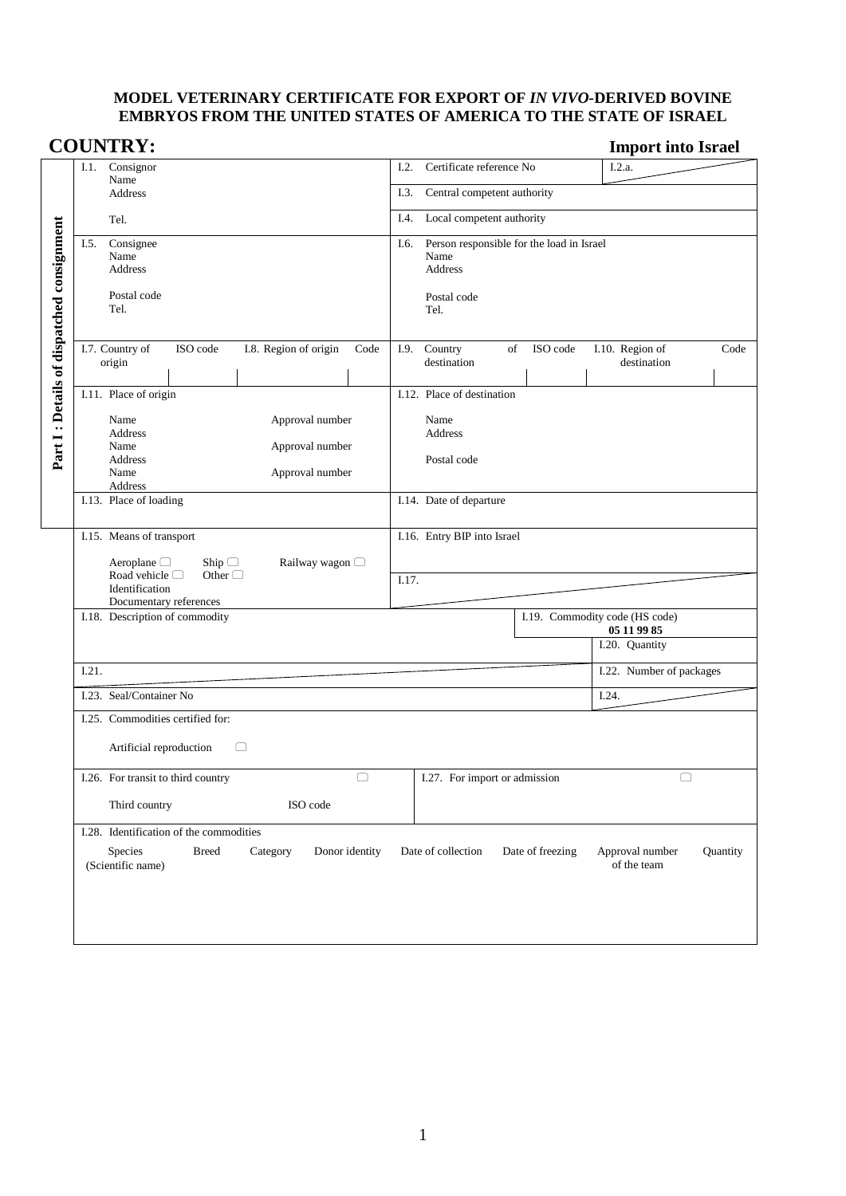## **MODEL VETERINARY CERTIFICATE FOR EXPORT OF** *IN VIVO-***DERIVED BOVINE EMBRYOS FROM THE UNITED STATES OF AMERICA TO THE STATE OF ISRAEL**

|                                    | <b>COUNTRY:</b>                                                                                                                         | <b>Import into Israel</b>                                                                   |  |  |  |  |  |  |
|------------------------------------|-----------------------------------------------------------------------------------------------------------------------------------------|---------------------------------------------------------------------------------------------|--|--|--|--|--|--|
|                                    | Consignor<br>I.1.<br>Name                                                                                                               | I.2.a.<br>I.2.<br>Certificate reference No                                                  |  |  |  |  |  |  |
|                                    | Address                                                                                                                                 | I.3.<br>Central competent authority                                                         |  |  |  |  |  |  |
|                                    | Tel.                                                                                                                                    | I.4.<br>Local competent authority                                                           |  |  |  |  |  |  |
|                                    | Consignee<br>I.5.<br>Name<br>Address<br>Postal code<br>Tel.                                                                             | Person responsible for the load in Israel<br>I.6.<br>Name<br>Address<br>Postal code<br>Tel. |  |  |  |  |  |  |
|                                    | I.7. Country of<br>ISO code<br>I.8. Region of origin<br>Code<br>origin                                                                  | ISO code<br>I.10. Region of<br>Code<br>I.9.<br>Country<br>of<br>destination<br>destination  |  |  |  |  |  |  |
|                                    | I.11. Place of origin                                                                                                                   | I.12. Place of destination                                                                  |  |  |  |  |  |  |
|                                    | Approval number<br>Name<br>Address<br>Name<br>Approval number<br>Address<br>Name<br>Approval number                                     | Name<br>Address<br>Postal code                                                              |  |  |  |  |  |  |
|                                    | Address<br>I.13. Place of loading                                                                                                       | I.14. Date of departure                                                                     |  |  |  |  |  |  |
|                                    | I.15. Means of transport<br>Aeroplane $\Box$<br>Ship $\Box$<br>Railway wagon □<br>Road vehicle $\Box$<br>Other $\Box$<br>Identification | I.16. Entry BIP into Israel<br>I.17.                                                        |  |  |  |  |  |  |
|                                    | Documentary references<br>I.18. Description of commodity                                                                                | I.19. Commodity code (HS code)                                                              |  |  |  |  |  |  |
|                                    |                                                                                                                                         | 05 11 99 85                                                                                 |  |  |  |  |  |  |
|                                    |                                                                                                                                         | I.20. Quantity                                                                              |  |  |  |  |  |  |
|                                    | I.21.                                                                                                                                   | I.22. Number of packages                                                                    |  |  |  |  |  |  |
|                                    | I.23. Seal/Container No<br>I.25. Commodities certified for:                                                                             | I.24.                                                                                       |  |  |  |  |  |  |
|                                    | Artificial reproduction<br>$(\quad)$                                                                                                    |                                                                                             |  |  |  |  |  |  |
| I.26. For transit to third country |                                                                                                                                         | I.27. For import or admission                                                               |  |  |  |  |  |  |
|                                    | Third country<br>ISO code                                                                                                               |                                                                                             |  |  |  |  |  |  |
|                                    | I.28. Identification of the commodities<br>Species<br>Category<br>Donor identity<br><b>Breed</b>                                        | Date of collection<br>Date of freezing<br>Approval number<br>Quantity<br>of the team        |  |  |  |  |  |  |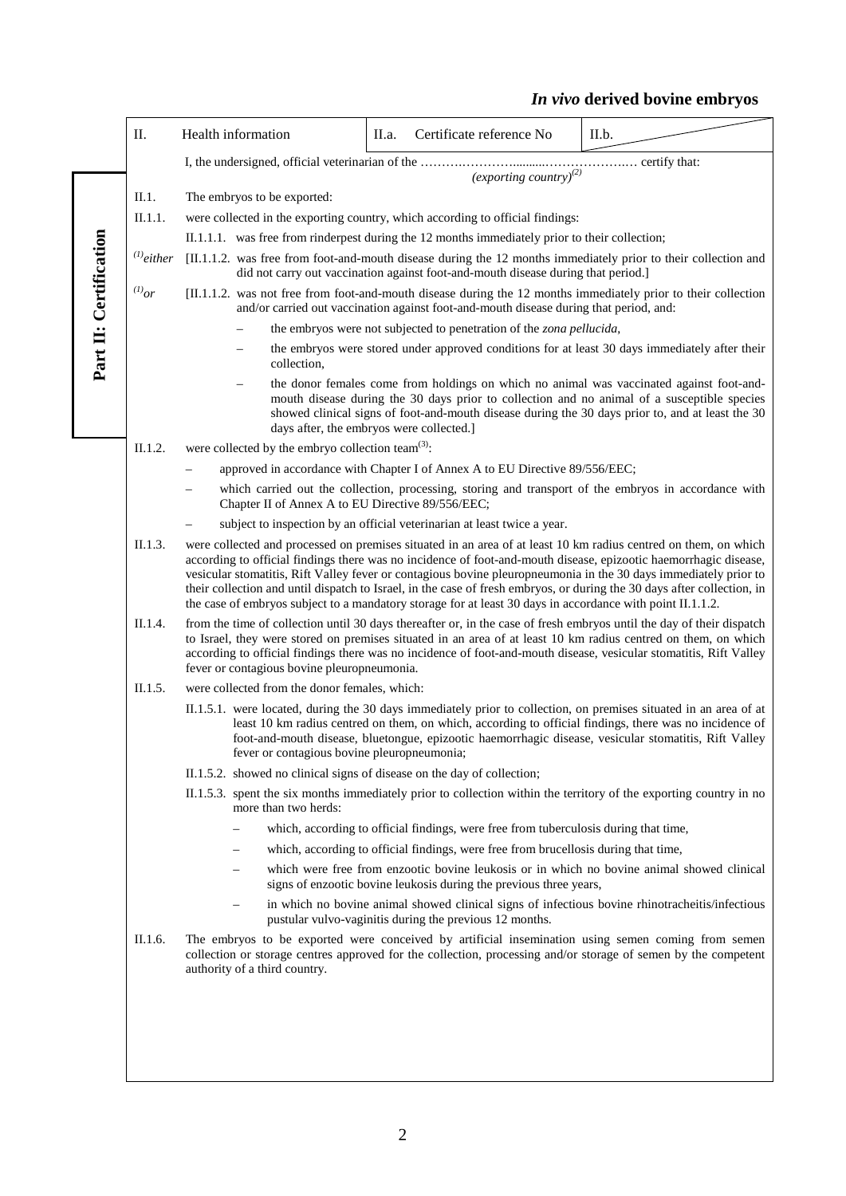## *In vivo* **derived bovine embryos**

|                        | Π.              | Health information                                                                                                                                                                                  | II.a. | Certificate reference No                                                                                                                                                                                                                                                                    | II.b.                                                                                                                                                                                                                                                                                                                                                                                                                                                                              |  |  |  |  |
|------------------------|-----------------|-----------------------------------------------------------------------------------------------------------------------------------------------------------------------------------------------------|-------|---------------------------------------------------------------------------------------------------------------------------------------------------------------------------------------------------------------------------------------------------------------------------------------------|------------------------------------------------------------------------------------------------------------------------------------------------------------------------------------------------------------------------------------------------------------------------------------------------------------------------------------------------------------------------------------------------------------------------------------------------------------------------------------|--|--|--|--|
|                        |                 | I, the undersigned, official veterinarian of the<br>$(exporting country)^{(2)}$                                                                                                                     |       |                                                                                                                                                                                                                                                                                             |                                                                                                                                                                                                                                                                                                                                                                                                                                                                                    |  |  |  |  |
|                        | II.1.           | The embryos to be exported:                                                                                                                                                                         |       |                                                                                                                                                                                                                                                                                             |                                                                                                                                                                                                                                                                                                                                                                                                                                                                                    |  |  |  |  |
|                        | II.1.1.         | were collected in the exporting country, which according to official findings:                                                                                                                      |       |                                                                                                                                                                                                                                                                                             |                                                                                                                                                                                                                                                                                                                                                                                                                                                                                    |  |  |  |  |
|                        |                 | II.1.1.1. was free from rinderpest during the 12 months immediately prior to their collection;                                                                                                      |       |                                                                                                                                                                                                                                                                                             |                                                                                                                                                                                                                                                                                                                                                                                                                                                                                    |  |  |  |  |
| Part II: Certification | $^{(1)}$ either | [II.1.1.2. was free from foot-and-mouth disease during the 12 months immediately prior to their collection and<br>did not carry out vaccination against foot-and-mouth disease during that period.] |       |                                                                                                                                                                                                                                                                                             |                                                                                                                                                                                                                                                                                                                                                                                                                                                                                    |  |  |  |  |
|                        | $^{(1)}$ or     |                                                                                                                                                                                                     |       | and/or carried out vaccination against foot-and-mouth disease during that period, and:                                                                                                                                                                                                      | [II.1.1.2. was not free from foot-and-mouth disease during the 12 months immediately prior to their collection                                                                                                                                                                                                                                                                                                                                                                     |  |  |  |  |
|                        |                 |                                                                                                                                                                                                     |       | the embryos were not subjected to penetration of the zona pellucida,                                                                                                                                                                                                                        |                                                                                                                                                                                                                                                                                                                                                                                                                                                                                    |  |  |  |  |
|                        |                 | collection,                                                                                                                                                                                         |       |                                                                                                                                                                                                                                                                                             | the embryos were stored under approved conditions for at least 30 days immediately after their                                                                                                                                                                                                                                                                                                                                                                                     |  |  |  |  |
|                        |                 | days after, the embryos were collected.]                                                                                                                                                            |       | the donor females come from holdings on which no animal was vaccinated against foot-and-<br>mouth disease during the 30 days prior to collection and no animal of a susceptible species<br>showed clinical signs of foot-and-mouth disease during the 30 days prior to, and at least the 30 |                                                                                                                                                                                                                                                                                                                                                                                                                                                                                    |  |  |  |  |
|                        | II.1.2.         | were collected by the embryo collection team <sup>(3)</sup> :                                                                                                                                       |       |                                                                                                                                                                                                                                                                                             |                                                                                                                                                                                                                                                                                                                                                                                                                                                                                    |  |  |  |  |
|                        |                 |                                                                                                                                                                                                     |       | approved in accordance with Chapter I of Annex A to EU Directive 89/556/EEC;                                                                                                                                                                                                                |                                                                                                                                                                                                                                                                                                                                                                                                                                                                                    |  |  |  |  |
|                        |                 | Chapter II of Annex A to EU Directive 89/556/EEC;                                                                                                                                                   |       |                                                                                                                                                                                                                                                                                             | which carried out the collection, processing, storing and transport of the embryos in accordance with                                                                                                                                                                                                                                                                                                                                                                              |  |  |  |  |
|                        |                 |                                                                                                                                                                                                     |       | subject to inspection by an official veterinarian at least twice a year.                                                                                                                                                                                                                    |                                                                                                                                                                                                                                                                                                                                                                                                                                                                                    |  |  |  |  |
|                        | II.1.3.         | the case of embryos subject to a mandatory storage for at least 30 days in accordance with point II.1.1.2.                                                                                          |       |                                                                                                                                                                                                                                                                                             | were collected and processed on premises situated in an area of at least 10 km radius centred on them, on which<br>according to official findings there was no incidence of foot-and-mouth disease, epizootic haemorrhagic disease,<br>vesicular stomatitis, Rift Valley fever or contagious bovine pleuropneumonia in the 30 days immediately prior to<br>their collection and until dispatch to Israel, in the case of fresh embryos, or during the 30 days after collection, in |  |  |  |  |
|                        | II.1.4.         | fever or contagious bovine pleuropneumonia.                                                                                                                                                         |       |                                                                                                                                                                                                                                                                                             | from the time of collection until 30 days thereafter or, in the case of fresh embryos until the day of their dispatch<br>to Israel, they were stored on premises situated in an area of at least 10 km radius centred on them, on which<br>according to official findings there was no incidence of foot-and-mouth disease, vesicular stomatitis, Rift Valley                                                                                                                      |  |  |  |  |
|                        | II.1.5.         | were collected from the donor females, which:                                                                                                                                                       |       |                                                                                                                                                                                                                                                                                             |                                                                                                                                                                                                                                                                                                                                                                                                                                                                                    |  |  |  |  |
|                        |                 | fever or contagious bovine pleuropneumonia;                                                                                                                                                         |       |                                                                                                                                                                                                                                                                                             | II.1.5.1. were located, during the 30 days immediately prior to collection, on premises situated in an area of at<br>least 10 km radius centred on them, on which, according to official findings, there was no incidence of<br>foot-and-mouth disease, bluetongue, epizootic haemorrhagic disease, vesicular stomatitis, Rift Valley                                                                                                                                              |  |  |  |  |
|                        |                 | II.1.5.2. showed no clinical signs of disease on the day of collection;                                                                                                                             |       |                                                                                                                                                                                                                                                                                             |                                                                                                                                                                                                                                                                                                                                                                                                                                                                                    |  |  |  |  |
|                        |                 | more than two herds:                                                                                                                                                                                |       |                                                                                                                                                                                                                                                                                             | II.1.5.3. spent the six months immediately prior to collection within the territory of the exporting country in no                                                                                                                                                                                                                                                                                                                                                                 |  |  |  |  |
|                        |                 |                                                                                                                                                                                                     |       | which, according to official findings, were free from tuberculosis during that time,                                                                                                                                                                                                        |                                                                                                                                                                                                                                                                                                                                                                                                                                                                                    |  |  |  |  |
|                        |                 | $\overline{\phantom{0}}$                                                                                                                                                                            |       | which, according to official findings, were free from brucellosis during that time,                                                                                                                                                                                                         |                                                                                                                                                                                                                                                                                                                                                                                                                                                                                    |  |  |  |  |
|                        |                 |                                                                                                                                                                                                     |       | signs of enzootic bovine leukosis during the previous three years,                                                                                                                                                                                                                          | which were free from enzootic bovine leukosis or in which no bovine animal showed clinical                                                                                                                                                                                                                                                                                                                                                                                         |  |  |  |  |
|                        |                 |                                                                                                                                                                                                     |       | pustular vulvo-vaginitis during the previous 12 months.                                                                                                                                                                                                                                     | in which no bovine animal showed clinical signs of infectious bovine rhinotracheitis/infectious                                                                                                                                                                                                                                                                                                                                                                                    |  |  |  |  |
|                        | II.1.6.         | authority of a third country.                                                                                                                                                                       |       |                                                                                                                                                                                                                                                                                             | The embryos to be exported were conceived by artificial insemination using semen coming from semen<br>collection or storage centres approved for the collection, processing and/or storage of semen by the competent                                                                                                                                                                                                                                                               |  |  |  |  |
|                        |                 |                                                                                                                                                                                                     |       |                                                                                                                                                                                                                                                                                             |                                                                                                                                                                                                                                                                                                                                                                                                                                                                                    |  |  |  |  |